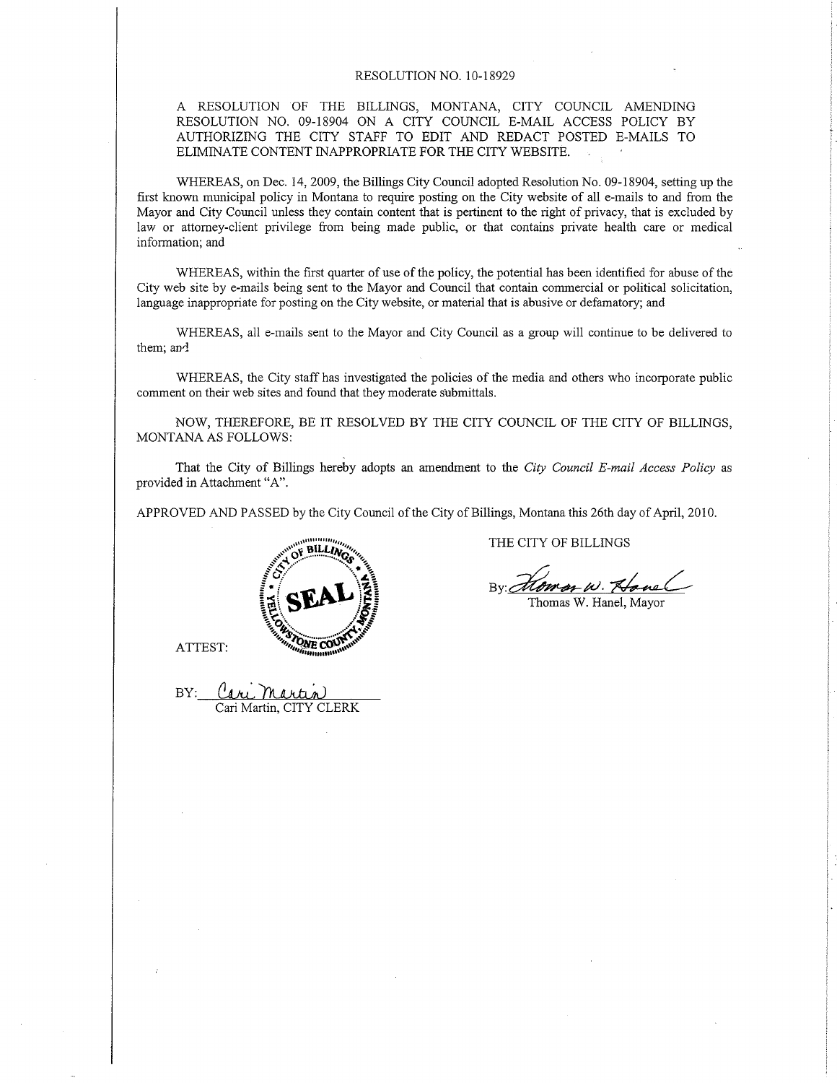#### RESOLUTION NO. 1O-18929

A RESOLUTION OF THE BILLINGS, MONTANA, CITY COUNCIL AMENDING RESOLUTION NO. 09-18904 ON A CITY COUNCIL E-MAIL ACCESS POLICY BY AUTHORIZING THE CITY STAFF TO EDIT AND REDACT POSTED E-MAILS TO ELIMINATE CONTENT INAPPROPRIATE FOR THE CITY WEBSITE.

WHEREAS, on Dec. 14,2009, the Billings City Council adopted Resolution No. 09-18904, setting up the first known municipal policy in Montana to require posting on the City website of all e-mails to and from the Mayor and City Council unless they contain content that is pertinent to the right of privacy, that is excluded by law or attomey-client privilege from being made public, or that contains private health care or medical information; and

WHEREAS, within the first quarter of use of the policy, the potential has been identified for abuse of the City web site by e-mails being sent to the Mayor and Council that contain commercial or political solicitation, language inappropriate for posting on the City website, or material that is abusive or defamatory; and

WHEREAS, all e-mails sent to the Mayor and City Council as a group will continue to be delivered to them; an4

WHEREAS, the City staff has investigated the policies of the media and others who incorporate public comment on their web sites and found that they moderate submittals.

NOW, THEREFORE, BE IT RESOLVED BY THE CITY COUNCIL OF THE CITY OF BILLINGS, MONTANA AS FOLLOWS:

That the City of Billings hereby adopts an amendment to the City Council E-mail Access Policy as provided in Attachment "A".

APPROVED AND PASSED by the City Council of the City of Billings, Montana this 26th day of April, 2010.



ATTEST:

BY: Cari Martin Cari Martin. CITY CLERK

THE CITY OF BILLINGS

By Howen w. Hanel

Thomas W. Hanel, Mayor